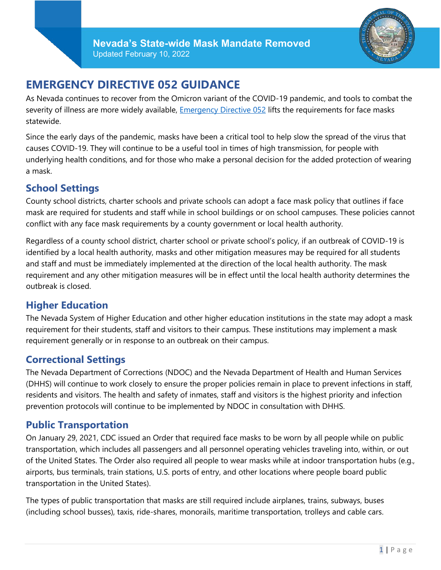

# **EMERGENCY DIRECTIVE 052 GUIDANCE**

As Nevada continues to recover from the Omicron variant of the COVID-19 pandemic, and tools to combat the severity of illness are more widely available, *Emergency Directive 052* lifts the requirements for face masks statewide.

Since the early days of the pandemic, masks have been a critical tool to help slow the spread of the virus that causes COVID-19. They will continue to be a useful tool in times of high transmission, for people with underlying health conditions, and for those who make a personal decision for the added protection of wearing a mask.

### **School Settings**

County school districts, charter schools and private schools can adopt a face mask policy that outlines if face mask are required for students and staff while in school buildings or on school campuses. These policies cannot conflict with any face mask requirements by a county government or local health authority.

Regardless of a county school district, charter school or private school's policy, if an outbreak of COVID-19 is identified by a local health authority, masks and other mitigation measures may be required for all students and staff and must be immediately implemented at the direction of the local health authority. The mask requirement and any other mitigation measures will be in effect until the local health authority determines the outbreak is closed.

### **Higher Education**

The Nevada System of Higher Education and other higher education institutions in the state may adopt a mask requirement for their students, staff and visitors to their campus. These institutions may implement a mask requirement generally or in response to an outbreak on their campus.

## **Correctional Settings**

The Nevada Department of Corrections (NDOC) and the Nevada Department of Health and Human Services (DHHS) will continue to work closely to ensure the proper policies remain in place to prevent infections in staff, residents and visitors. The health and safety of inmates, staff and visitors is the highest priority and infection prevention protocols will continue to be implemented by NDOC in consultation with DHHS.

### **Public Transportation**

On January 29, 2021, CDC issued an Order that required face masks to be worn by all people while on public transportation, which includes all passengers and all personnel operating vehicles traveling into, within, or out of the United States. The Order also required all people to wear masks while at indoor transportation hubs (e.g., airports, bus terminals, train stations, U.S. ports of entry, and other locations where people board public transportation in the United States).

The types of public transportation that masks are still required include airplanes, trains, subways, buses (including school busses), taxis, ride-shares, monorails, maritime transportation, trolleys and cable cars.